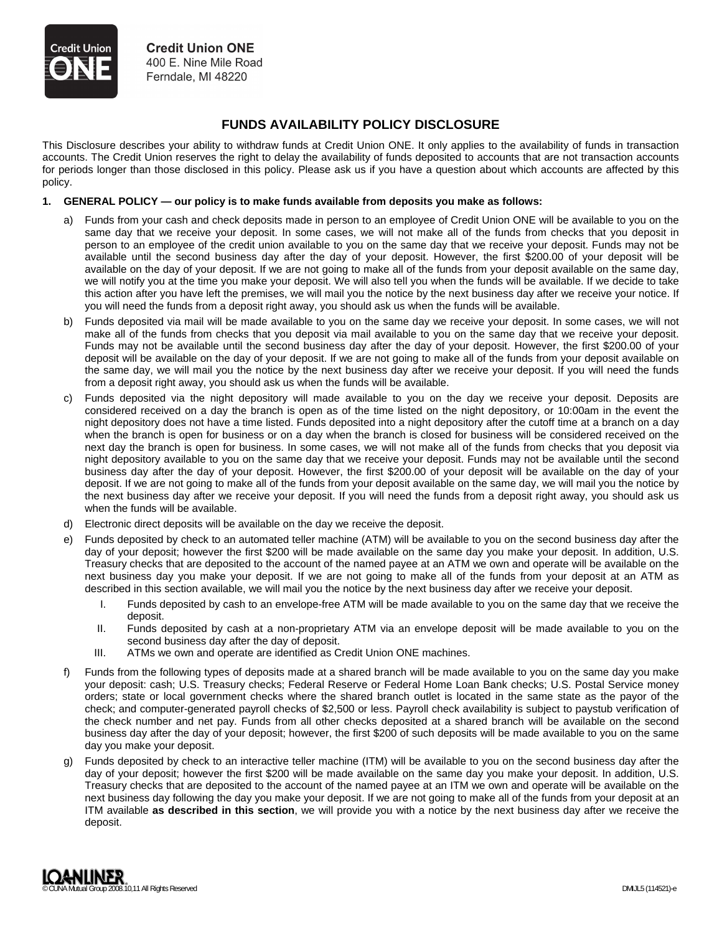## **FUNDS AVAILABILITY POLICY DISCLOSURE**

This Disclosure describes your ability to withdraw funds at Credit Union ONE. It only applies to the availability of funds in transaction accounts. The Credit Union reserves the right to delay the availability of funds deposited to accounts that are not transaction accounts for periods longer than those disclosed in this policy. Please ask us if you have a question about which accounts are affected by this policy.

## **1. GENERAL POLICY — our policy is to make funds available from deposits you make as follows:**

- a) Funds from your cash and check deposits made in person to an employee of Credit Union ONE will be available to you on the same day that we receive your deposit. In some cases, we will not make all of the funds from checks that you deposit in person to an employee of the credit union available to you on the same day that we receive your deposit. Funds may not be available until the second business day after the day of your deposit. However, the first \$200.00 of your deposit will be available on the day of your deposit. If we are not going to make all of the funds from your deposit available on the same day, we will notify you at the time you make your deposit. We will also tell you when the funds will be available. If we decide to take this action after you have left the premises, we will mail you the notice by the next business day after we receive your notice. If you will need the funds from a deposit right away, you should ask us when the funds will be available.
- b) Funds deposited via mail will be made available to you on the same day we receive your deposit. In some cases, we will not make all of the funds from checks that you deposit via mail available to you on the same day that we receive your deposit. Funds may not be available until the second business day after the day of your deposit. However, the first \$200.00 of your deposit will be available on the day of your deposit. If we are not going to make all of the funds from your deposit available on the same day, we will mail you the notice by the next business day after we receive your deposit. If you will need the funds from a deposit right away, you should ask us when the funds will be available.
- c) Funds deposited via the night depository will made available to you on the day we receive your deposit. Deposits are considered received on a day the branch is open as of the time listed on the night depository, or 10:00am in the event the night depository does not have a time listed. Funds deposited into a night depository after the cutoff time at a branch on a day when the branch is open for business or on a day when the branch is closed for business will be considered received on the next day the branch is open for business. In some cases, we will not make all of the funds from checks that you deposit via night depository available to you on the same day that we receive your deposit. Funds may not be available until the second business day after the day of your deposit. However, the first \$200.00 of your deposit will be available on the day of your deposit. If we are not going to make all of the funds from your deposit available on the same day, we will mail you the notice by the next business day after we receive your deposit. If you will need the funds from a deposit right away, you should ask us when the funds will be available.
- d) Electronic direct deposits will be available on the day we receive the deposit.
- e) Funds deposited by check to an automated teller machine (ATM) will be available to you on the second business day after the day of your deposit; however the first \$200 will be made available on the same day you make your deposit. In addition, U.S. Treasury checks that are deposited to the account of the named payee at an ATM we own and operate will be available on the next business day you make your deposit. If we are not going to make all of the funds from your deposit at an ATM as described in this section available, we will mail you the notice by the next business day after we receive your deposit.
	- I. Funds deposited by cash to an envelope-free ATM will be made available to you on the same day that we receive the deposit.
	- II. Funds deposited by cash at a non-proprietary ATM via an envelope deposit will be made available to you on the second business day after the day of deposit.
	- III. ATMs we own and operate are identified as Credit Union ONE machines.
- Funds from the following types of deposits made at a shared branch will be made available to you on the same day you make your deposit: cash; U.S. Treasury checks; Federal Reserve or Federal Home Loan Bank checks; U.S. Postal Service money orders; state or local government checks where the shared branch outlet is located in the same state as the payor of the check; and computer-generated payroll checks of \$2,500 or less. Payroll check availability is subject to paystub verification of the check number and net pay. Funds from all other checks deposited at a shared branch will be available on the second business day after the day of your deposit; however, the first \$200 of such deposits will be made available to you on the same day you make your deposit.
- g) Funds deposited by check to an interactive teller machine (ITM) will be available to you on the second business day after the day of your deposit; however the first \$200 will be made available on the same day you make your deposit. In addition, U.S. Treasury checks that are deposited to the account of the named payee at an ITM we own and operate will be available on the next business day following the day you make your deposit. If we are not going to make all of the funds from your deposit at an ITM available **as described in this section**, we will provide you with a notice by the next business day after we receive the deposit.